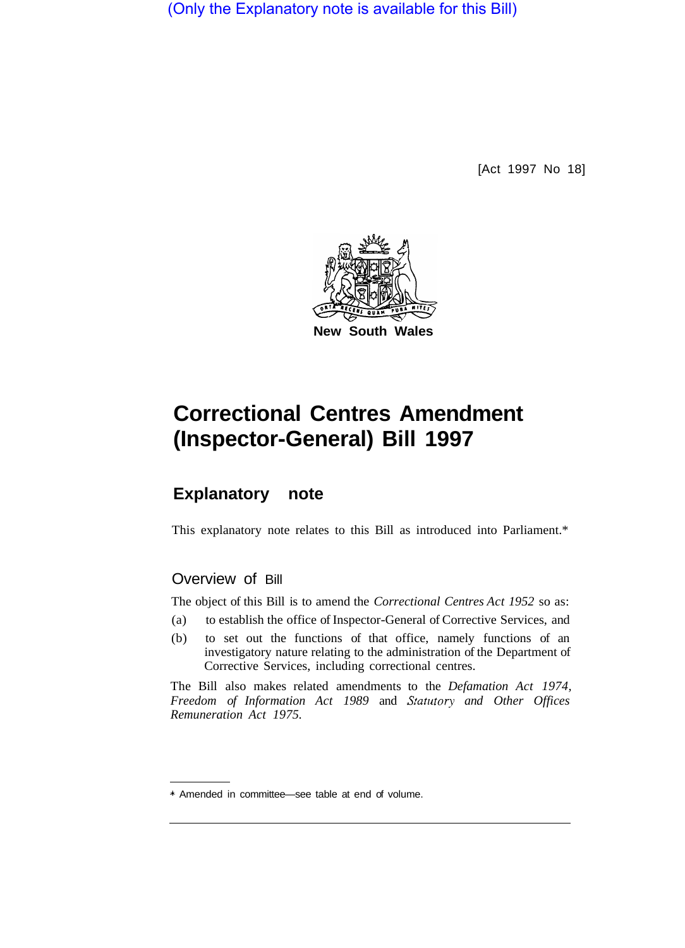(Only the Explanatory note is available for this Bill)

[Act 1997 No 18]



# **Correctional Centres Amendment (Inspector-General) Bill 1997**

## **Explanatory note**

This explanatory note relates to this Bill as introduced into Parliament.\*

## Overview of Bill

The object of this Bill is to amend the *Correctional Centres Act 1952* so as:

- (a) to establish the office of Inspector-General of Corrective Services, and
- (b) to set out the functions of that office, namely functions of an investigatory nature relating to the administration of the Department of Corrective Services, including correctional centres.

The Bill also makes related amendments to the *Defamation Act 1974, Freedom of Information Act 1989* and *Statutory and Other Offices Remuneration Act 1975.* 

<sup>\*</sup> Amended in committee—see table at end of volume.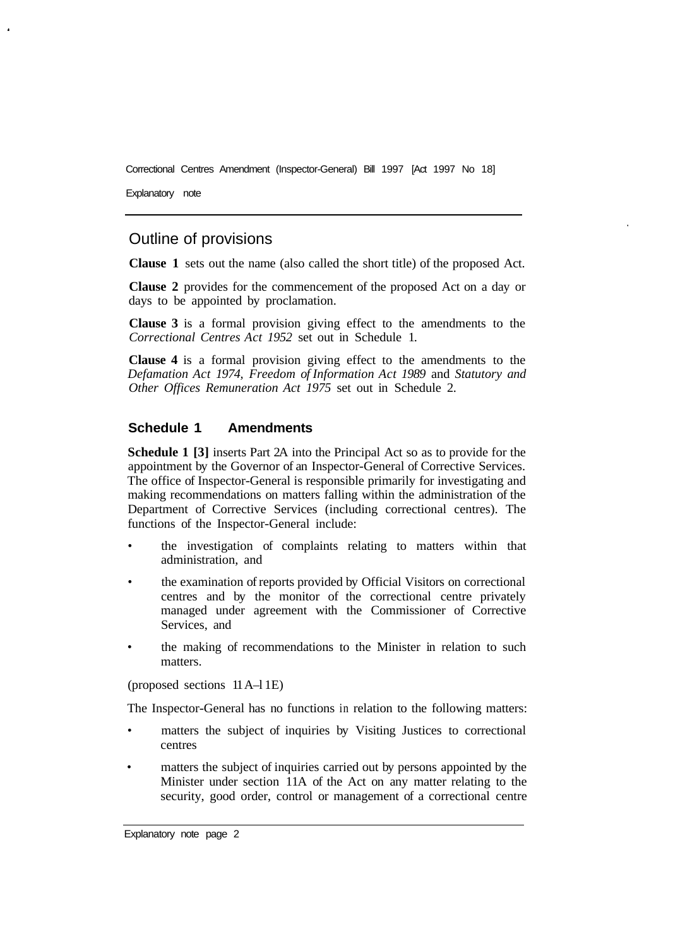Correctional Centres Amendment (Inspector-General) Bill 1997 [Act 1997 No 18]

Explanatory note

## Outline of provisions

**Clause 1** sets out the name (also called the short title) of the proposed Act.

**Clause 2** provides for the commencement of the proposed Act on a day or days to be appointed by proclamation.

**Clause 3** is a formal provision giving effect to the amendments to the *Correctional Centres Act 1952* set out in Schedule 1.

**Clause 4** is a formal provision giving effect to the amendments to the *Defamation Act 1974, Freedom of Information Act 1989* and *Statutory and Other Offices Remuneration Act 1975* set out in Schedule 2.

### **Schedule 1 Amendments**

**Schedule 1 [3]** inserts Part 2A into the Principal Act so as to provide for the appointment by the Governor of an Inspector-General of Corrective Services. The office of Inspector-General is responsible primarily for investigating and making recommendations on matters falling within the administration of the Department of Corrective Services (including correctional centres). The functions of the Inspector-General include:

- the investigation of complaints relating to matters within that administration, and
- the examination of reports provided by Official Visitors on correctional centres and by the monitor of the correctional centre privately managed under agreement with the Commissioner of Corrective Services, and
- the making of recommendations to the Minister in relation to such matters.

(proposed sections 11 A–l 1E)

The Inspector-General has no functions in relation to the following matters:

- matters the subject of inquiries by Visiting Justices to correctional centres
- matters the subject of inquiries carried out by persons appointed by the Minister under section 11A of the Act on any matter relating to the security, good order, control or management of a correctional centre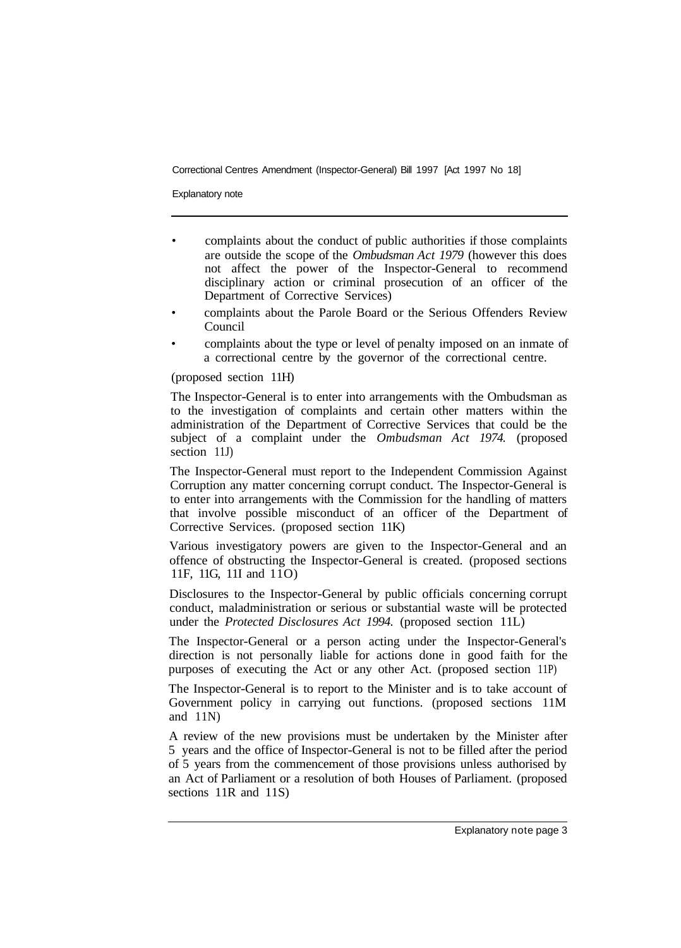Correctional Centres Amendment (Inspector-General) Bill 1997 [Act 1997 No 18]

Explanatory note

- complaints about the conduct of public authorities if those complaints are outside the scope of the *Ombudsman Act 1979* (however this does not affect the power of the Inspector-General to recommend disciplinary action or criminal prosecution of an officer of the Department of Corrective Services)
- complaints about the Parole Board or the Serious Offenders Review Council
- complaints about the type or level of penalty imposed on an inmate of a correctional centre by the governor of the correctional centre.

(proposed section 11H)

The Inspector-General is to enter into arrangements with the Ombudsman as to the investigation of complaints and certain other matters within the administration of the Department of Corrective Services that could be the subject of a complaint under the *Ombudsman Act 1974.* (proposed section 11J)

The Inspector-General must report to the Independent Commission Against Corruption any matter concerning corrupt conduct. The Inspector-General is to enter into arrangements with the Commission for the handling of matters that involve possible misconduct of an officer of the Department of Corrective Services. (proposed section 11K)

Various investigatory powers are given to the Inspector-General and an offence of obstructing the Inspector-General is created. (proposed sections 11F, 11G, 11I and 11O)

Disclosures to the Inspector-General by public officials concerning corrupt conduct, maladministration or serious or substantial waste will be protected under the *Protected Disclosures Act 1994.* (proposed section 11L)

The Inspector-General or a person acting under the Inspector-General's direction is not personally liable for actions done in good faith for the purposes of executing the Act or any other Act. (proposed section 11P)

The Inspector-General is to report to the Minister and is to take account of Government policy in carrying out functions. (proposed sections 11M and  $11N$ )

A review of the new provisions must be undertaken by the Minister after 5 years and the office of Inspector-General is not to be filled after the period of 5 years from the commencement of those provisions unless authorised by an Act of Parliament or a resolution of both Houses of Parliament. (proposed sections 11R and 11S)